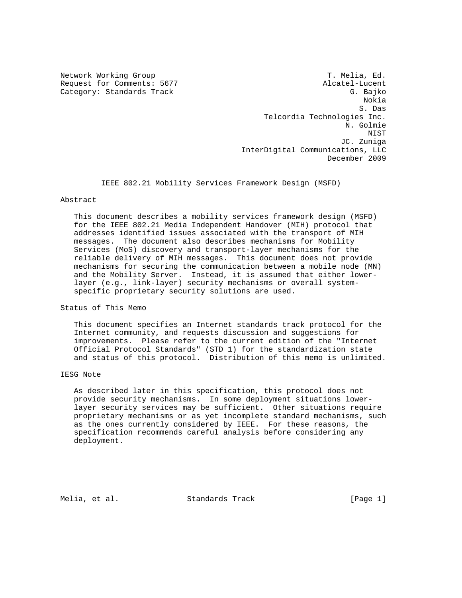Network Working Group T. Melia, Ed. Request for Comments: 5677 Alcatel-Lucent Category: Standards Track G. Bajko Nokia S. Das Telcordia Technologies Inc. N. Golmie NIST JC. Zuniga InterDigital Communications, LLC December 2009

IEEE 802.21 Mobility Services Framework Design (MSFD)

## Abstract

 This document describes a mobility services framework design (MSFD) for the IEEE 802.21 Media Independent Handover (MIH) protocol that addresses identified issues associated with the transport of MIH messages. The document also describes mechanisms for Mobility Services (MoS) discovery and transport-layer mechanisms for the reliable delivery of MIH messages. This document does not provide mechanisms for securing the communication between a mobile node (MN) and the Mobility Server. Instead, it is assumed that either lower layer (e.g., link-layer) security mechanisms or overall system specific proprietary security solutions are used.

Status of This Memo

 This document specifies an Internet standards track protocol for the Internet community, and requests discussion and suggestions for improvements. Please refer to the current edition of the "Internet Official Protocol Standards" (STD 1) for the standardization state and status of this protocol. Distribution of this memo is unlimited.

## IESG Note

 As described later in this specification, this protocol does not provide security mechanisms. In some deployment situations lower layer security services may be sufficient. Other situations require proprietary mechanisms or as yet incomplete standard mechanisms, such as the ones currently considered by IEEE. For these reasons, the specification recommends careful analysis before considering any deployment.

Melia, et al. Standards Track [Page 1]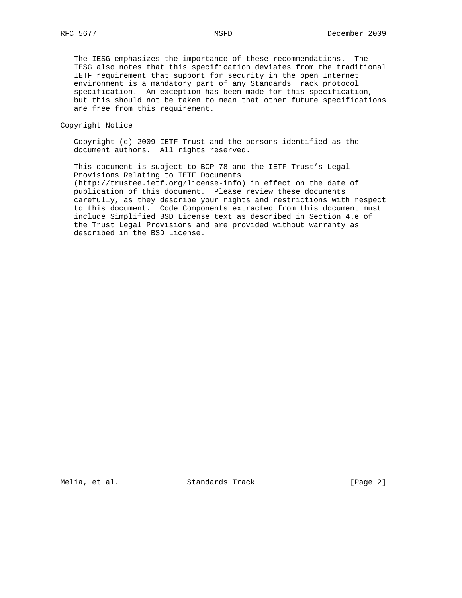The IESG emphasizes the importance of these recommendations. The IESG also notes that this specification deviates from the traditional IETF requirement that support for security in the open Internet environment is a mandatory part of any Standards Track protocol specification. An exception has been made for this specification, but this should not be taken to mean that other future specifications are free from this requirement.

Copyright Notice

 Copyright (c) 2009 IETF Trust and the persons identified as the document authors. All rights reserved.

 This document is subject to BCP 78 and the IETF Trust's Legal Provisions Relating to IETF Documents (http://trustee.ietf.org/license-info) in effect on the date of publication of this document. Please review these documents carefully, as they describe your rights and restrictions with respect to this document. Code Components extracted from this document must include Simplified BSD License text as described in Section 4.e of the Trust Legal Provisions and are provided without warranty as described in the BSD License.

Melia, et al. Standards Track [Page 2]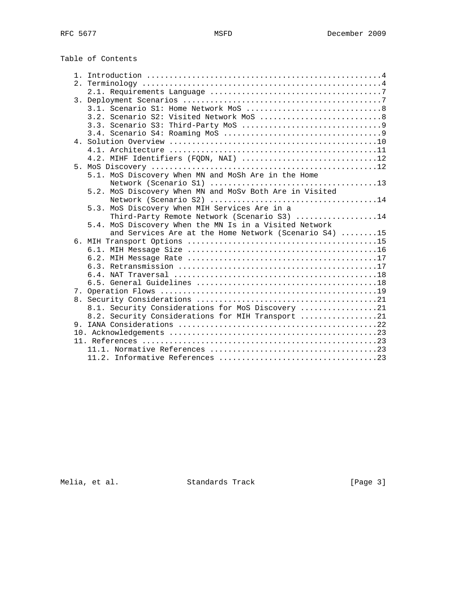Table of Contents

| 2. |                                                         |  |
|----|---------------------------------------------------------|--|
|    |                                                         |  |
|    |                                                         |  |
|    |                                                         |  |
|    | 3.2. Scenario S2: Visited Network MoS 8                 |  |
|    |                                                         |  |
|    |                                                         |  |
|    |                                                         |  |
|    |                                                         |  |
|    | 4.2. MIHF Identifiers (FQDN, NAI) 12                    |  |
|    |                                                         |  |
|    | 5.1. MoS Discovery When MN and MoSh Are in the Home     |  |
|    |                                                         |  |
|    | 5.2. MoS Discovery When MN and MoSv Both Are in Visited |  |
|    |                                                         |  |
|    | 5.3. MoS Discovery When MIH Services Are in a           |  |
|    | Third-Party Remote Network (Scenario S3) 14             |  |
|    | 5.4. MoS Discovery When the MN Is in a Visited Network  |  |
|    | and Services Are at the Home Network (Scenario S4) 15   |  |
|    |                                                         |  |
|    |                                                         |  |
|    |                                                         |  |
|    |                                                         |  |
|    |                                                         |  |
|    |                                                         |  |
|    |                                                         |  |
|    | 8.1. Security Considerations for MoS Discovery 21       |  |
|    | 8.2. Security Considerations for MIH Transport 21       |  |
|    |                                                         |  |
|    |                                                         |  |
|    |                                                         |  |
|    |                                                         |  |
|    |                                                         |  |
|    |                                                         |  |

Melia, et al. Standards Track [Page 3]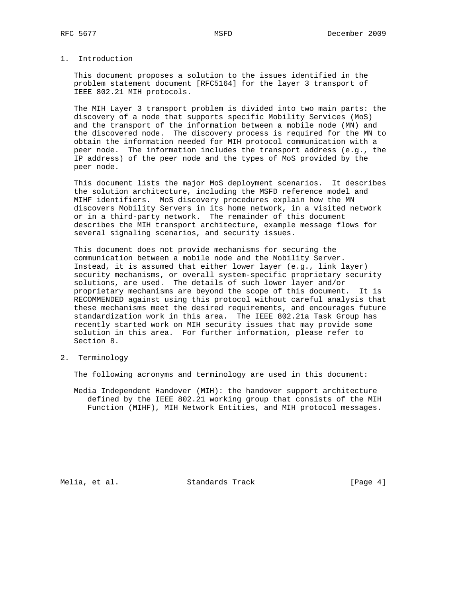# 1. Introduction

 This document proposes a solution to the issues identified in the problem statement document [RFC5164] for the layer 3 transport of IEEE 802.21 MIH protocols.

 The MIH Layer 3 transport problem is divided into two main parts: the discovery of a node that supports specific Mobility Services (MoS) and the transport of the information between a mobile node (MN) and the discovered node. The discovery process is required for the MN to obtain the information needed for MIH protocol communication with a peer node. The information includes the transport address (e.g., the IP address) of the peer node and the types of MoS provided by the peer node.

 This document lists the major MoS deployment scenarios. It describes the solution architecture, including the MSFD reference model and MIHF identifiers. MoS discovery procedures explain how the MN discovers Mobility Servers in its home network, in a visited network or in a third-party network. The remainder of this document describes the MIH transport architecture, example message flows for several signaling scenarios, and security issues.

 This document does not provide mechanisms for securing the communication between a mobile node and the Mobility Server. Instead, it is assumed that either lower layer (e.g., link layer) security mechanisms, or overall system-specific proprietary security solutions, are used. The details of such lower layer and/or proprietary mechanisms are beyond the scope of this document. It is RECOMMENDED against using this protocol without careful analysis that these mechanisms meet the desired requirements, and encourages future standardization work in this area. The IEEE 802.21a Task Group has recently started work on MIH security issues that may provide some solution in this area. For further information, please refer to Section 8.

2. Terminology

The following acronyms and terminology are used in this document:

 Media Independent Handover (MIH): the handover support architecture defined by the IEEE 802.21 working group that consists of the MIH Function (MIHF), MIH Network Entities, and MIH protocol messages.

Melia, et al. Standards Track [Page 4]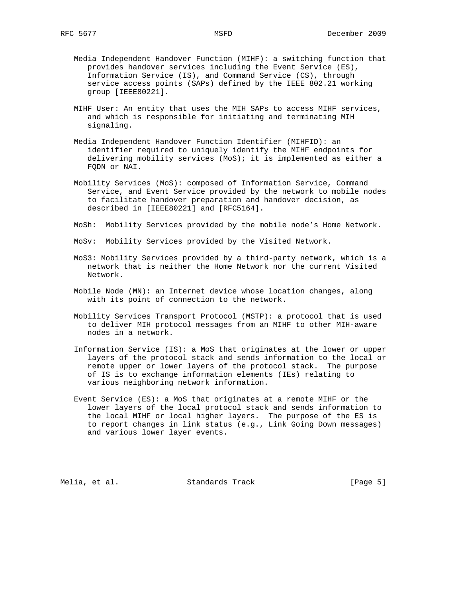- Media Independent Handover Function (MIHF): a switching function that provides handover services including the Event Service (ES), Information Service (IS), and Command Service (CS), through service access points (SAPs) defined by the IEEE 802.21 working group [IEEE80221].
- MIHF User: An entity that uses the MIH SAPs to access MIHF services, and which is responsible for initiating and terminating MIH signaling.
- Media Independent Handover Function Identifier (MIHFID): an identifier required to uniquely identify the MIHF endpoints for delivering mobility services (MoS); it is implemented as either a FQDN or NAI.
- Mobility Services (MoS): composed of Information Service, Command Service, and Event Service provided by the network to mobile nodes to facilitate handover preparation and handover decision, as described in [IEEE80221] and [RFC5164].
- MoSh: Mobility Services provided by the mobile node's Home Network.
- MoSv: Mobility Services provided by the Visited Network.
- MoS3: Mobility Services provided by a third-party network, which is a network that is neither the Home Network nor the current Visited Network.
- Mobile Node (MN): an Internet device whose location changes, along with its point of connection to the network.
- Mobility Services Transport Protocol (MSTP): a protocol that is used to deliver MIH protocol messages from an MIHF to other MIH-aware nodes in a network.
- Information Service (IS): a MoS that originates at the lower or upper layers of the protocol stack and sends information to the local or remote upper or lower layers of the protocol stack. The purpose of IS is to exchange information elements (IEs) relating to various neighboring network information.
- Event Service (ES): a MoS that originates at a remote MIHF or the lower layers of the local protocol stack and sends information to the local MIHF or local higher layers. The purpose of the ES is to report changes in link status (e.g., Link Going Down messages) and various lower layer events.

Melia, et al. Standards Track [Page 5]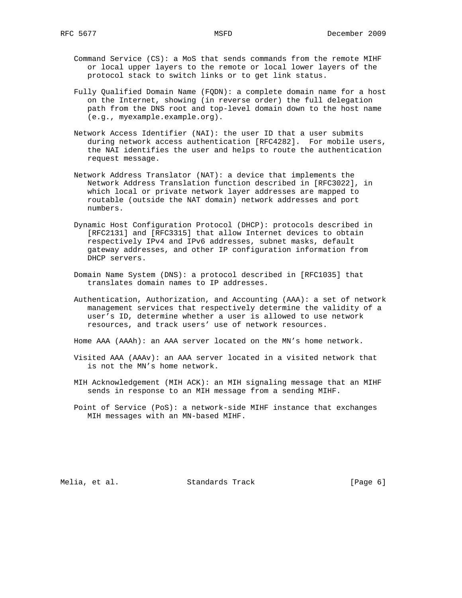- Command Service (CS): a MoS that sends commands from the remote MIHF or local upper layers to the remote or local lower layers of the protocol stack to switch links or to get link status.
- Fully Qualified Domain Name (FQDN): a complete domain name for a host on the Internet, showing (in reverse order) the full delegation path from the DNS root and top-level domain down to the host name (e.g., myexample.example.org).
- Network Access Identifier (NAI): the user ID that a user submits during network access authentication [RFC4282]. For mobile users, the NAI identifies the user and helps to route the authentication request message.
- Network Address Translator (NAT): a device that implements the Network Address Translation function described in [RFC3022], in which local or private network layer addresses are mapped to routable (outside the NAT domain) network addresses and port numbers.
- Dynamic Host Configuration Protocol (DHCP): protocols described in [RFC2131] and [RFC3315] that allow Internet devices to obtain respectively IPv4 and IPv6 addresses, subnet masks, default gateway addresses, and other IP configuration information from DHCP servers.
- Domain Name System (DNS): a protocol described in [RFC1035] that translates domain names to IP addresses.
- Authentication, Authorization, and Accounting (AAA): a set of network management services that respectively determine the validity of a user's ID, determine whether a user is allowed to use network resources, and track users' use of network resources.
- Home AAA (AAAh): an AAA server located on the MN's home network.
- Visited AAA (AAAv): an AAA server located in a visited network that is not the MN's home network.
- MIH Acknowledgement (MIH ACK): an MIH signaling message that an MIHF sends in response to an MIH message from a sending MIHF.
- Point of Service (PoS): a network-side MIHF instance that exchanges MIH messages with an MN-based MIHF.

Melia, et al. Standards Track [Page 6]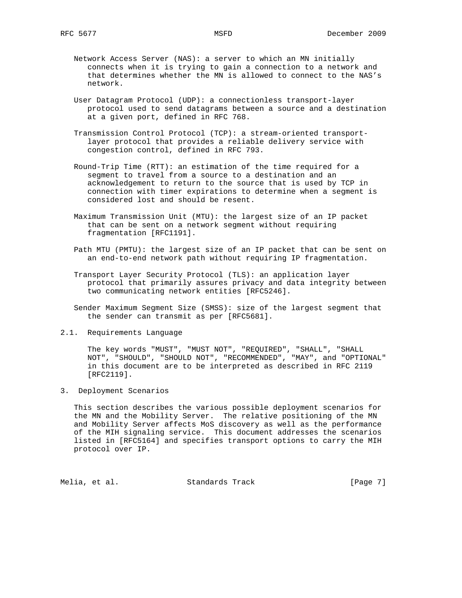- Network Access Server (NAS): a server to which an MN initially connects when it is trying to gain a connection to a network and that determines whether the MN is allowed to connect to the NAS's network.
- User Datagram Protocol (UDP): a connectionless transport-layer protocol used to send datagrams between a source and a destination at a given port, defined in RFC 768.
- Transmission Control Protocol (TCP): a stream-oriented transport layer protocol that provides a reliable delivery service with congestion control, defined in RFC 793.
- Round-Trip Time (RTT): an estimation of the time required for a segment to travel from a source to a destination and an acknowledgement to return to the source that is used by TCP in connection with timer expirations to determine when a segment is considered lost and should be resent.
- Maximum Transmission Unit (MTU): the largest size of an IP packet that can be sent on a network segment without requiring fragmentation [RFC1191].
- Path MTU (PMTU): the largest size of an IP packet that can be sent on an end-to-end network path without requiring IP fragmentation.
- Transport Layer Security Protocol (TLS): an application layer protocol that primarily assures privacy and data integrity between two communicating network entities [RFC5246].
- Sender Maximum Segment Size (SMSS): size of the largest segment that the sender can transmit as per [RFC5681].
- 2.1. Requirements Language

 The key words "MUST", "MUST NOT", "REQUIRED", "SHALL", "SHALL NOT", "SHOULD", "SHOULD NOT", "RECOMMENDED", "MAY", and "OPTIONAL" in this document are to be interpreted as described in RFC 2119 [RFC2119].

3. Deployment Scenarios

 This section describes the various possible deployment scenarios for the MN and the Mobility Server. The relative positioning of the MN and Mobility Server affects MoS discovery as well as the performance of the MIH signaling service. This document addresses the scenarios listed in [RFC5164] and specifies transport options to carry the MIH protocol over IP.

Melia, et al. Standards Track [Page 7]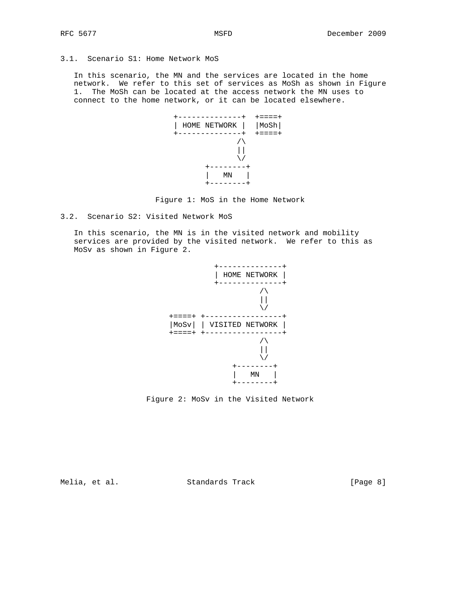# 3.1. Scenario S1: Home Network MoS

 In this scenario, the MN and the services are located in the home network. We refer to this set of services as MoSh as shown in Figure 1. The MoSh can be located at the access network the MN uses to connect to the home network, or it can be located elsewhere.





3.2. Scenario S2: Visited Network MoS

 In this scenario, the MN is in the visited network and mobility services are provided by the visited network. We refer to this as MoSv as shown in Figure 2.





Melia, et al. Standards Track [Page 8]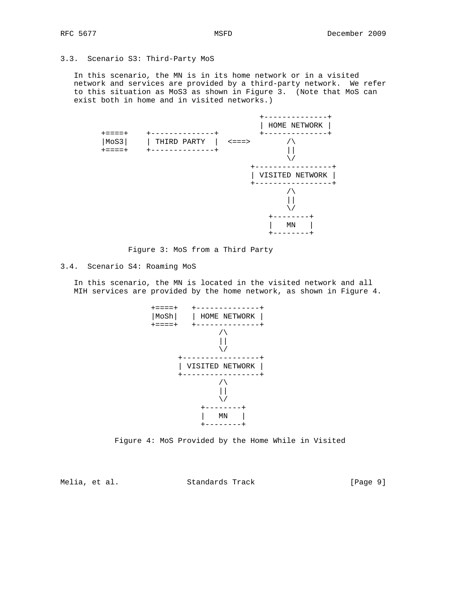# 3.3. Scenario S3: Third-Party MoS

 In this scenario, the MN is in its home network or in a visited network and services are provided by a third-party network. We refer to this situation as MoS3 as shown in Figure 3. (Note that MoS can exist both in home and in visited networks.)

|                                        |                                        |                | HOME NETWORK    |
|----------------------------------------|----------------------------------------|----------------|-----------------|
| $+ = = = = +$<br>MoS3<br>$+ = = = = +$ | $\pm$<br>THIRD PARTY<br>-------------+ | $\leq$ = = = > |                 |
|                                        |                                        |                | VISITED NETWORK |
|                                        |                                        |                |                 |
|                                        |                                        |                | MN              |

Figure 3: MoS from a Third Party

### 3.4. Scenario S4: Roaming MoS

 In this scenario, the MN is located in the visited network and all MIH services are provided by the home network, as shown in Figure 4.





Melia, et al. Standards Track [Page 9]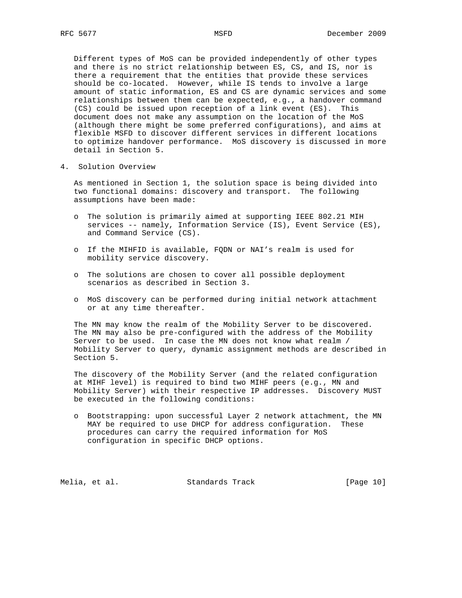Different types of MoS can be provided independently of other types and there is no strict relationship between ES, CS, and IS, nor is there a requirement that the entities that provide these services should be co-located. However, while IS tends to involve a large amount of static information, ES and CS are dynamic services and some relationships between them can be expected, e.g., a handover command (CS) could be issued upon reception of a link event (ES). This document does not make any assumption on the location of the MoS (although there might be some preferred configurations), and aims at flexible MSFD to discover different services in different locations to optimize handover performance. MoS discovery is discussed in more detail in Section 5.

4. Solution Overview

 As mentioned in Section 1, the solution space is being divided into two functional domains: discovery and transport. The following assumptions have been made:

- o The solution is primarily aimed at supporting IEEE 802.21 MIH services -- namely, Information Service (IS), Event Service (ES), and Command Service (CS).
- o If the MIHFID is available, FQDN or NAI's realm is used for mobility service discovery.
- o The solutions are chosen to cover all possible deployment scenarios as described in Section 3.
- o MoS discovery can be performed during initial network attachment or at any time thereafter.

 The MN may know the realm of the Mobility Server to be discovered. The MN may also be pre-configured with the address of the Mobility Server to be used. In case the MN does not know what realm / Mobility Server to query, dynamic assignment methods are described in Section 5.

 The discovery of the Mobility Server (and the related configuration at MIHF level) is required to bind two MIHF peers (e.g., MN and Mobility Server) with their respective IP addresses. Discovery MUST be executed in the following conditions:

 o Bootstrapping: upon successful Layer 2 network attachment, the MN MAY be required to use DHCP for address configuration. These procedures can carry the required information for MoS configuration in specific DHCP options.

Melia, et al. Standards Track [Page 10]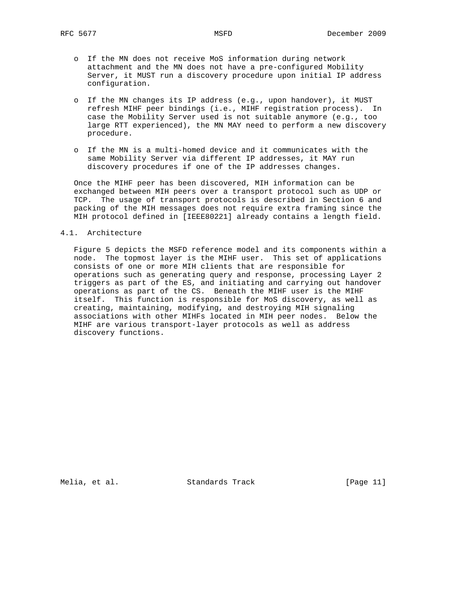- o If the MN does not receive MoS information during network attachment and the MN does not have a pre-configured Mobility Server, it MUST run a discovery procedure upon initial IP address configuration.
- o If the MN changes its IP address (e.g., upon handover), it MUST refresh MIHF peer bindings (i.e., MIHF registration process). In case the Mobility Server used is not suitable anymore (e.g., too large RTT experienced), the MN MAY need to perform a new discovery procedure.
- o If the MN is a multi-homed device and it communicates with the same Mobility Server via different IP addresses, it MAY run discovery procedures if one of the IP addresses changes.

 Once the MIHF peer has been discovered, MIH information can be exchanged between MIH peers over a transport protocol such as UDP or TCP. The usage of transport protocols is described in Section 6 and packing of the MIH messages does not require extra framing since the MIH protocol defined in [IEEE80221] already contains a length field.

#### 4.1. Architecture

 Figure 5 depicts the MSFD reference model and its components within a node. The topmost layer is the MIHF user. This set of applications consists of one or more MIH clients that are responsible for operations such as generating query and response, processing Layer 2 triggers as part of the ES, and initiating and carrying out handover operations as part of the CS. Beneath the MIHF user is the MIHF itself. This function is responsible for MoS discovery, as well as creating, maintaining, modifying, and destroying MIH signaling associations with other MIHFs located in MIH peer nodes. Below the MIHF are various transport-layer protocols as well as address discovery functions.

Melia, et al. Standards Track [Page 11]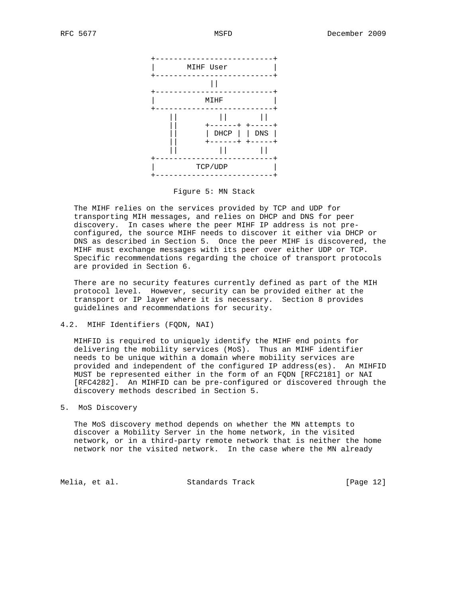

Figure 5: MN Stack

 The MIHF relies on the services provided by TCP and UDP for transporting MIH messages, and relies on DHCP and DNS for peer discovery. In cases where the peer MIHF IP address is not pre configured, the source MIHF needs to discover it either via DHCP or DNS as described in Section 5. Once the peer MIHF is discovered, the MIHF must exchange messages with its peer over either UDP or TCP. Specific recommendations regarding the choice of transport protocols are provided in Section 6.

 There are no security features currently defined as part of the MIH protocol level. However, security can be provided either at the transport or IP layer where it is necessary. Section 8 provides guidelines and recommendations for security.

### 4.2. MIHF Identifiers (FQDN, NAI)

 MIHFID is required to uniquely identify the MIHF end points for delivering the mobility services (MoS). Thus an MIHF identifier needs to be unique within a domain where mobility services are provided and independent of the configured IP address(es). An MIHFID MUST be represented either in the form of an FQDN [RFC2181] or NAI [RFC4282]. An MIHFID can be pre-configured or discovered through the discovery methods described in Section 5.

## 5. MoS Discovery

 The MoS discovery method depends on whether the MN attempts to discover a Mobility Server in the home network, in the visited network, or in a third-party remote network that is neither the home network nor the visited network. In the case where the MN already

Melia, et al. Standards Track [Page 12]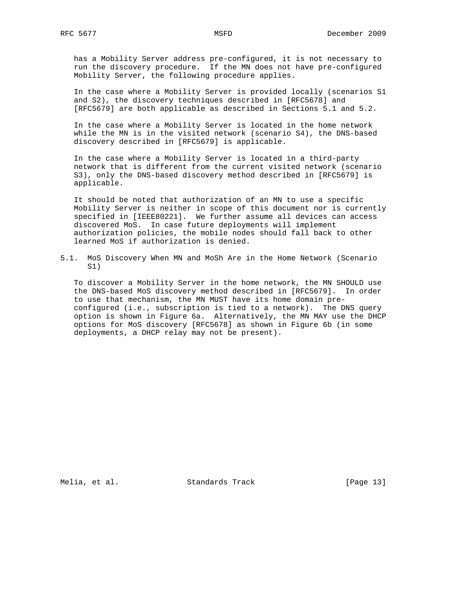has a Mobility Server address pre-configured, it is not necessary to run the discovery procedure. If the MN does not have pre-configured Mobility Server, the following procedure applies.

 In the case where a Mobility Server is provided locally (scenarios S1 and S2), the discovery techniques described in [RFC5678] and [RFC5679] are both applicable as described in Sections 5.1 and 5.2.

 In the case where a Mobility Server is located in the home network while the MN is in the visited network (scenario S4), the DNS-based discovery described in [RFC5679] is applicable.

 In the case where a Mobility Server is located in a third-party network that is different from the current visited network (scenario S3), only the DNS-based discovery method described in [RFC5679] is applicable.

 It should be noted that authorization of an MN to use a specific Mobility Server is neither in scope of this document nor is currently specified in [IEEE80221]. We further assume all devices can access discovered MoS. In case future deployments will implement authorization policies, the mobile nodes should fall back to other learned MoS if authorization is denied.

5.1. MoS Discovery When MN and MoSh Are in the Home Network (Scenario S1)

 To discover a Mobility Server in the home network, the MN SHOULD use the DNS-based MoS discovery method described in [RFC5679]. In order to use that mechanism, the MN MUST have its home domain pre configured (i.e., subscription is tied to a network). The DNS query option is shown in Figure 6a. Alternatively, the MN MAY use the DHCP options for MoS discovery [RFC5678] as shown in Figure 6b (in some deployments, a DHCP relay may not be present).

Melia, et al. Standards Track [Page 13]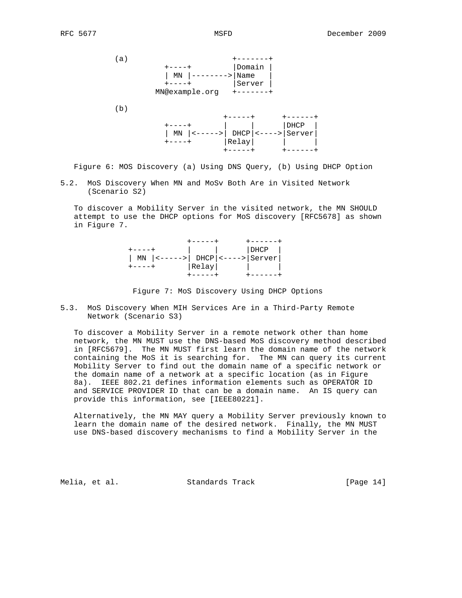

(b)



Figure 6: MOS Discovery (a) Using DNS Query, (b) Using DHCP Option

5.2. MoS Discovery When MN and MoSv Both Are in Visited Network (Scenario S2)

 To discover a Mobility Server in the visited network, the MN SHOULD attempt to use the DHCP options for MoS discovery [RFC5678] as shown in Figure 7.

|                                           |       | DHCP |  |
|-------------------------------------------|-------|------|--|
| MN $ $ <----->   DHCP $ $ <---->   Server |       |      |  |
|                                           | Relay |      |  |
|                                           |       |      |  |

Figure 7: MoS Discovery Using DHCP Options

5.3. MoS Discovery When MIH Services Are in a Third-Party Remote Network (Scenario S3)

 To discover a Mobility Server in a remote network other than home network, the MN MUST use the DNS-based MoS discovery method described in [RFC5679]. The MN MUST first learn the domain name of the network containing the MoS it is searching for. The MN can query its current Mobility Server to find out the domain name of a specific network or the domain name of a network at a specific location (as in Figure 8a). IEEE 802.21 defines information elements such as OPERATOR ID and SERVICE PROVIDER ID that can be a domain name. An IS query can provide this information, see [IEEE80221].

 Alternatively, the MN MAY query a Mobility Server previously known to learn the domain name of the desired network. Finally, the MN MUST use DNS-based discovery mechanisms to find a Mobility Server in the

Melia, et al. Standards Track [Page 14]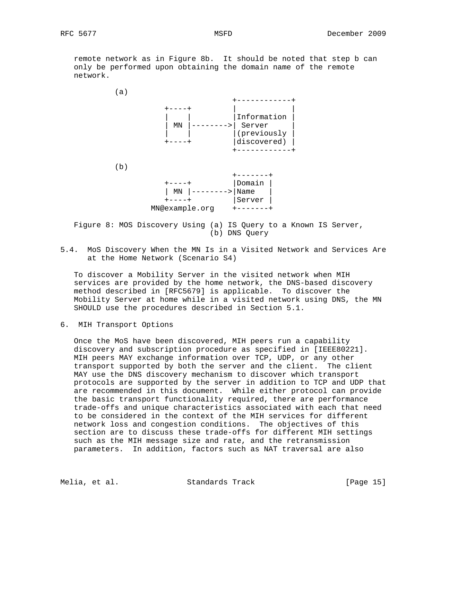remote network as in Figure 8b. It should be noted that step b can only be performed upon obtaining the domain name of the remote network.



 Figure 8: MOS Discovery Using (a) IS Query to a Known IS Server, (b) DNS Query

5.4. MoS Discovery When the MN Is in a Visited Network and Services Are at the Home Network (Scenario S4)

 To discover a Mobility Server in the visited network when MIH services are provided by the home network, the DNS-based discovery method described in [RFC5679] is applicable. To discover the Mobility Server at home while in a visited network using DNS, the MN SHOULD use the procedures described in Section 5.1.

6. MIH Transport Options

 Once the MoS have been discovered, MIH peers run a capability discovery and subscription procedure as specified in [IEEE80221]. MIH peers MAY exchange information over TCP, UDP, or any other transport supported by both the server and the client. The client MAY use the DNS discovery mechanism to discover which transport protocols are supported by the server in addition to TCP and UDP that are recommended in this document. While either protocol can provide the basic transport functionality required, there are performance trade-offs and unique characteristics associated with each that need to be considered in the context of the MIH services for different network loss and congestion conditions. The objectives of this section are to discuss these trade-offs for different MIH settings such as the MIH message size and rate, and the retransmission parameters. In addition, factors such as NAT traversal are also

Melia, et al. Standards Track [Page 15]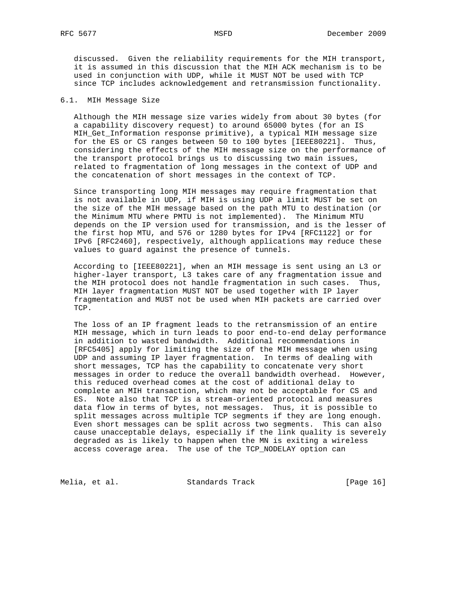discussed. Given the reliability requirements for the MIH transport, it is assumed in this discussion that the MIH ACK mechanism is to be used in conjunction with UDP, while it MUST NOT be used with TCP since TCP includes acknowledgement and retransmission functionality.

### 6.1. MIH Message Size

 Although the MIH message size varies widely from about 30 bytes (for a capability discovery request) to around 65000 bytes (for an IS MIH\_Get\_Information response primitive), a typical MIH message size for the ES or CS ranges between 50 to 100 bytes [IEEE80221]. Thus, considering the effects of the MIH message size on the performance of the transport protocol brings us to discussing two main issues, related to fragmentation of long messages in the context of UDP and the concatenation of short messages in the context of TCP.

 Since transporting long MIH messages may require fragmentation that is not available in UDP, if MIH is using UDP a limit MUST be set on the size of the MIH message based on the path MTU to destination (or the Minimum MTU where PMTU is not implemented). The Minimum MTU depends on the IP version used for transmission, and is the lesser of the first hop MTU, and 576 or 1280 bytes for IPv4 [RFC1122] or for IPv6 [RFC2460], respectively, although applications may reduce these values to guard against the presence of tunnels.

 According to [IEEE80221], when an MIH message is sent using an L3 or higher-layer transport, L3 takes care of any fragmentation issue and the MIH protocol does not handle fragmentation in such cases. Thus, MIH layer fragmentation MUST NOT be used together with IP layer fragmentation and MUST not be used when MIH packets are carried over TCP.

 The loss of an IP fragment leads to the retransmission of an entire MIH message, which in turn leads to poor end-to-end delay performance in addition to wasted bandwidth. Additional recommendations in [RFC5405] apply for limiting the size of the MIH message when using UDP and assuming IP layer fragmentation. In terms of dealing with short messages, TCP has the capability to concatenate very short messages in order to reduce the overall bandwidth overhead. However, this reduced overhead comes at the cost of additional delay to complete an MIH transaction, which may not be acceptable for CS and ES. Note also that TCP is a stream-oriented protocol and measures data flow in terms of bytes, not messages. Thus, it is possible to split messages across multiple TCP segments if they are long enough. Even short messages can be split across two segments. This can also cause unacceptable delays, especially if the link quality is severely degraded as is likely to happen when the MN is exiting a wireless access coverage area. The use of the TCP\_NODELAY option can

Melia, et al. Standards Track [Page 16]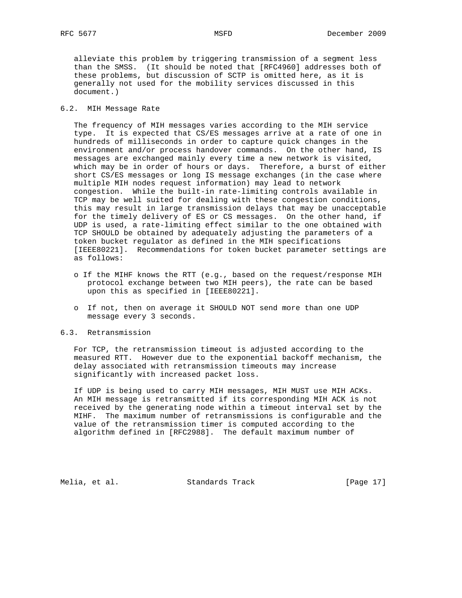alleviate this problem by triggering transmission of a segment less than the SMSS. (It should be noted that [RFC4960] addresses both of these problems, but discussion of SCTP is omitted here, as it is generally not used for the mobility services discussed in this document.)

### 6.2. MIH Message Rate

 The frequency of MIH messages varies according to the MIH service type. It is expected that CS/ES messages arrive at a rate of one in hundreds of milliseconds in order to capture quick changes in the environment and/or process handover commands. On the other hand, IS messages are exchanged mainly every time a new network is visited, which may be in order of hours or days. Therefore, a burst of either short CS/ES messages or long IS message exchanges (in the case where multiple MIH nodes request information) may lead to network congestion. While the built-in rate-limiting controls available in TCP may be well suited for dealing with these congestion conditions, this may result in large transmission delays that may be unacceptable for the timely delivery of ES or CS messages. On the other hand, if UDP is used, a rate-limiting effect similar to the one obtained with TCP SHOULD be obtained by adequately adjusting the parameters of a token bucket regulator as defined in the MIH specifications [IEEE80221]. Recommendations for token bucket parameter settings are as follows:

- o If the MIHF knows the RTT (e.g., based on the request/response MIH protocol exchange between two MIH peers), the rate can be based upon this as specified in [IEEE80221].
- o If not, then on average it SHOULD NOT send more than one UDP message every 3 seconds.

### 6.3. Retransmission

 For TCP, the retransmission timeout is adjusted according to the measured RTT. However due to the exponential backoff mechanism, the delay associated with retransmission timeouts may increase significantly with increased packet loss.

 If UDP is being used to carry MIH messages, MIH MUST use MIH ACKs. An MIH message is retransmitted if its corresponding MIH ACK is not received by the generating node within a timeout interval set by the MIHF. The maximum number of retransmissions is configurable and the value of the retransmission timer is computed according to the algorithm defined in [RFC2988]. The default maximum number of

Melia, et al. Standards Track [Page 17]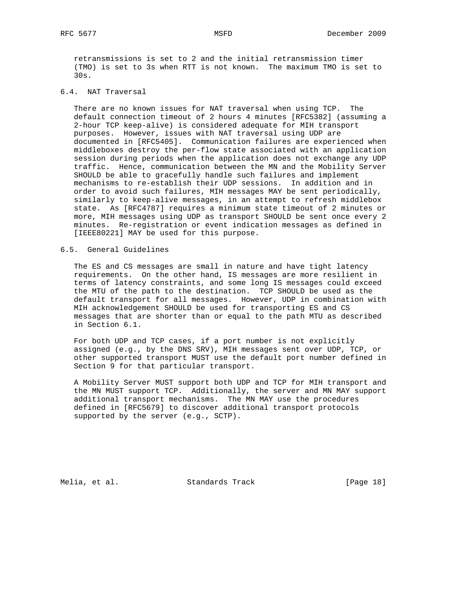retransmissions is set to 2 and the initial retransmission timer (TMO) is set to 3s when RTT is not known. The maximum TMO is set to 30s.

# 6.4. NAT Traversal

 There are no known issues for NAT traversal when using TCP. The default connection timeout of 2 hours 4 minutes [RFC5382] (assuming a 2-hour TCP keep-alive) is considered adequate for MIH transport purposes. However, issues with NAT traversal using UDP are documented in [RFC5405]. Communication failures are experienced when middleboxes destroy the per-flow state associated with an application session during periods when the application does not exchange any UDP traffic. Hence, communication between the MN and the Mobility Server SHOULD be able to gracefully handle such failures and implement mechanisms to re-establish their UDP sessions. In addition and in order to avoid such failures, MIH messages MAY be sent periodically, similarly to keep-alive messages, in an attempt to refresh middlebox state. As [RFC4787] requires a minimum state timeout of 2 minutes or more, MIH messages using UDP as transport SHOULD be sent once every 2 minutes. Re-registration or event indication messages as defined in [IEEE80221] MAY be used for this purpose.

### 6.5. General Guidelines

 The ES and CS messages are small in nature and have tight latency requirements. On the other hand, IS messages are more resilient in terms of latency constraints, and some long IS messages could exceed the MTU of the path to the destination. TCP SHOULD be used as the default transport for all messages. However, UDP in combination with MIH acknowledgement SHOULD be used for transporting ES and CS messages that are shorter than or equal to the path MTU as described in Section 6.1.

 For both UDP and TCP cases, if a port number is not explicitly assigned (e.g., by the DNS SRV), MIH messages sent over UDP, TCP, or other supported transport MUST use the default port number defined in Section 9 for that particular transport.

 A Mobility Server MUST support both UDP and TCP for MIH transport and the MN MUST support TCP. Additionally, the server and MN MAY support additional transport mechanisms. The MN MAY use the procedures defined in [RFC5679] to discover additional transport protocols supported by the server (e.g., SCTP).

Melia, et al. Standards Track [Page 18]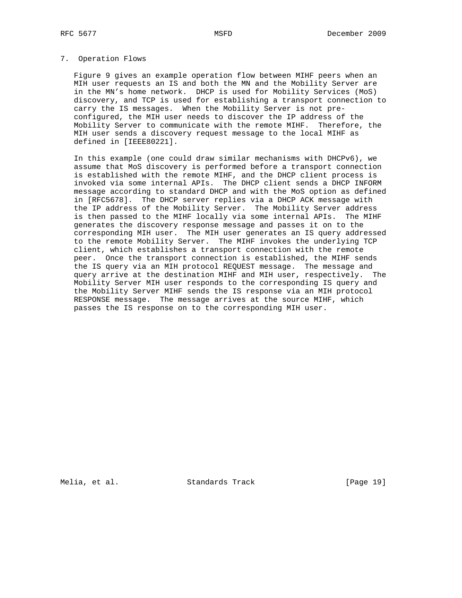#### 7. Operation Flows

 Figure 9 gives an example operation flow between MIHF peers when an MIH user requests an IS and both the MN and the Mobility Server are in the MN's home network. DHCP is used for Mobility Services (MoS) discovery, and TCP is used for establishing a transport connection to carry the IS messages. When the Mobility Server is not pre configured, the MIH user needs to discover the IP address of the Mobility Server to communicate with the remote MIHF. Therefore, the MIH user sends a discovery request message to the local MIHF as defined in [IEEE80221].

 In this example (one could draw similar mechanisms with DHCPv6), we assume that MoS discovery is performed before a transport connection is established with the remote MIHF, and the DHCP client process is invoked via some internal APIs. The DHCP client sends a DHCP INFORM message according to standard DHCP and with the MoS option as defined in [RFC5678]. The DHCP server replies via a DHCP ACK message with the IP address of the Mobility Server. The Mobility Server address is then passed to the MIHF locally via some internal APIs. The MIHF generates the discovery response message and passes it on to the corresponding MIH user. The MIH user generates an IS query addressed to the remote Mobility Server. The MIHF invokes the underlying TCP client, which establishes a transport connection with the remote peer. Once the transport connection is established, the MIHF sends the IS query via an MIH protocol REQUEST message. The message and query arrive at the destination MIHF and MIH user, respectively. The Mobility Server MIH user responds to the corresponding IS query and the Mobility Server MIHF sends the IS response via an MIH protocol RESPONSE message. The message arrives at the source MIHF, which passes the IS response on to the corresponding MIH user.

Melia, et al. Standards Track [Page 19]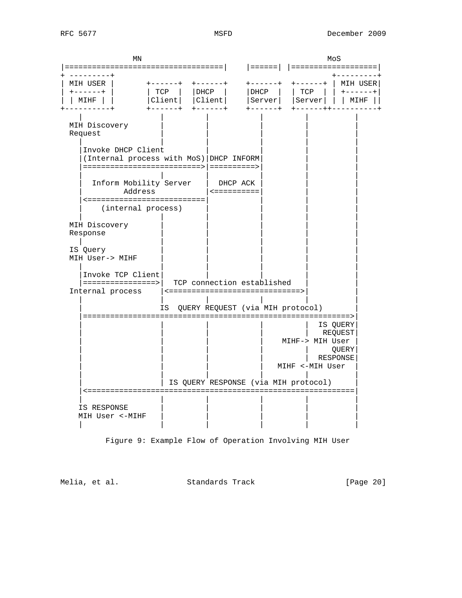| ΜN                                                                                                                                                                                                                                                                                        |                                                     |                                                                | MoS                        |                                    |                                          |
|-------------------------------------------------------------------------------------------------------------------------------------------------------------------------------------------------------------------------------------------------------------------------------------------|-----------------------------------------------------|----------------------------------------------------------------|----------------------------|------------------------------------|------------------------------------------|
|                                                                                                                                                                                                                                                                                           |                                                     |                                                                |                            |                                    | ===================                      |
| MIH USER<br>$+ - - - - - +$<br>MIHF                                                                                                                                                                                                                                                       | $+ - - - - - +$<br>TCP<br> DHCP<br> Client <br>$-+$ | $+ - - - - - +$<br>  DHCP<br> Client                           | $+ - - - - - +$<br> Server | <b>+------+</b><br>TCP<br> Server  | MIH USER <br>$+ - - - - - +$<br>  MIHF   |
| MIH Discovery<br>Request<br>Invoke DHCP Client<br>(Internal process with MoS) DHCP INFORM<br>=========================> ==========><br>Inform Mobility Server<br>Address<br><==========================<br>(internal process)<br>MIH Discovery<br>Response<br>IS Query<br>MIH User-> MIHF |                                                     | DHCP ACK<br><==========                                        |                            |                                    |                                          |
| Invoke TCP Client<br>Internal process                                                                                                                                                                                                                                                     |                                                     | TCP connection established<br><==============================> |                            |                                    |                                          |
|                                                                                                                                                                                                                                                                                           | IS                                                  | QUERY REQUEST (via MIH protocol)                               |                            |                                    |                                          |
| =======================                                                                                                                                                                                                                                                                   |                                                     | IS QUERY RESPONSE (via MIH protocol)                           |                            | MIHF-> MIH User<br>MIHF <-MIH User | IS QUERY<br>REQUEST<br>QUERY<br>RESPONSE |
| <==================                                                                                                                                                                                                                                                                       |                                                     | :===================================                           |                            |                                    |                                          |
| IS RESPONSE<br>MIH User <- MIHF                                                                                                                                                                                                                                                           |                                                     |                                                                |                            |                                    |                                          |

Figure 9: Example Flow of Operation Involving MIH User

Melia, et al. Standards Track [Page 20]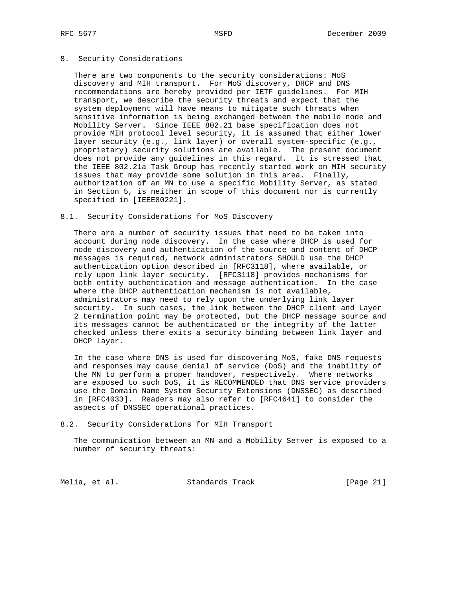## 8. Security Considerations

 There are two components to the security considerations: MoS discovery and MIH transport. For MoS discovery, DHCP and DNS recommendations are hereby provided per IETF guidelines. For MIH transport, we describe the security threats and expect that the system deployment will have means to mitigate such threats when sensitive information is being exchanged between the mobile node and Mobility Server. Since IEEE 802.21 base specification does not provide MIH protocol level security, it is assumed that either lower layer security (e.g., link layer) or overall system-specific (e.g., proprietary) security solutions are available. The present document does not provide any guidelines in this regard. It is stressed that the IEEE 802.21a Task Group has recently started work on MIH security issues that may provide some solution in this area. Finally, authorization of an MN to use a specific Mobility Server, as stated in Section 5, is neither in scope of this document nor is currently specified in [IEEE80221].

#### 8.1. Security Considerations for MoS Discovery

 There are a number of security issues that need to be taken into account during node discovery. In the case where DHCP is used for node discovery and authentication of the source and content of DHCP messages is required, network administrators SHOULD use the DHCP authentication option described in [RFC3118], where available, or rely upon link layer security. [RFC3118] provides mechanisms for both entity authentication and message authentication. In the case where the DHCP authentication mechanism is not available, administrators may need to rely upon the underlying link layer security. In such cases, the link between the DHCP client and Layer 2 termination point may be protected, but the DHCP message source and its messages cannot be authenticated or the integrity of the latter checked unless there exits a security binding between link layer and DHCP layer.

 In the case where DNS is used for discovering MoS, fake DNS requests and responses may cause denial of service (DoS) and the inability of the MN to perform a proper handover, respectively. Where networks are exposed to such DoS, it is RECOMMENDED that DNS service providers use the Domain Name System Security Extensions (DNSSEC) as described in [RFC4033]. Readers may also refer to [RFC4641] to consider the aspects of DNSSEC operational practices.

#### 8.2. Security Considerations for MIH Transport

 The communication between an MN and a Mobility Server is exposed to a number of security threats:

Melia, et al. Standards Track [Page 21]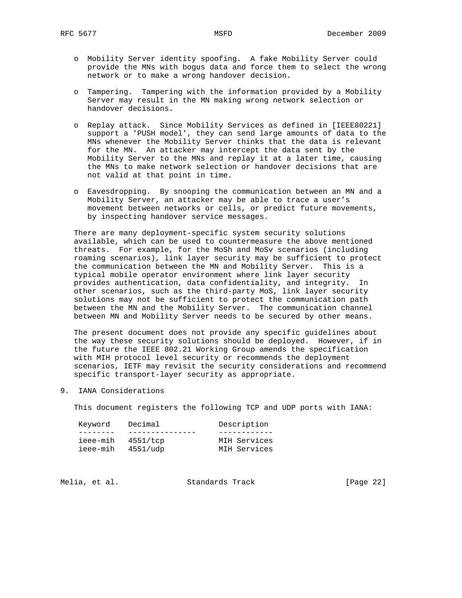- o Mobility Server identity spoofing. A fake Mobility Server could provide the MNs with bogus data and force them to select the wrong network or to make a wrong handover decision.
- o Tampering. Tampering with the information provided by a Mobility Server may result in the MN making wrong network selection or handover decisions.
- o Replay attack. Since Mobility Services as defined in [IEEE80221] support a 'PUSH model', they can send large amounts of data to the MNs whenever the Mobility Server thinks that the data is relevant for the MN. An attacker may intercept the data sent by the Mobility Server to the MNs and replay it at a later time, causing the MNs to make network selection or handover decisions that are not valid at that point in time.
- o Eavesdropping. By snooping the communication between an MN and a Mobility Server, an attacker may be able to trace a user's movement between networks or cells, or predict future movements, by inspecting handover service messages.

 There are many deployment-specific system security solutions available, which can be used to countermeasure the above mentioned threats. For example, for the MoSh and MoSv scenarios (including roaming scenarios), link layer security may be sufficient to protect the communication between the MN and Mobility Server. This is a typical mobile operator environment where link layer security provides authentication, data confidentiality, and integrity. In other scenarios, such as the third-party MoS, link layer security solutions may not be sufficient to protect the communication path between the MN and the Mobility Server. The communication channel between MN and Mobility Server needs to be secured by other means.

 The present document does not provide any specific guidelines about the way these security solutions should be deployed. However, if in the future the IEEE 802.21 Working Group amends the specification with MIH protocol level security or recommends the deployment scenarios, IETF may revisit the security considerations and recommend specific transport-layer security as appropriate.

9. IANA Considerations

This document registers the following TCP and UDP ports with IANA:

| Keyword  | Decimal           | Description  |
|----------|-------------------|--------------|
|          |                   |              |
|          | ieee-mih 4551/tcp | MIH Services |
| ieee-mih | 4551/udp          | MIH Services |

Melia, et al. Standards Track [Page 22]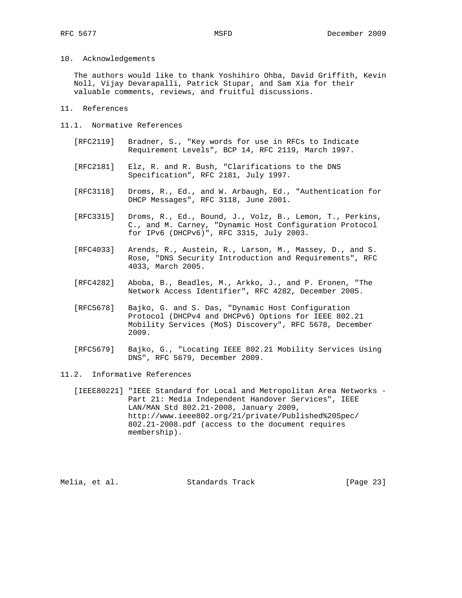#### 10. Acknowledgements

 The authors would like to thank Yoshihiro Ohba, David Griffith, Kevin Noll, Vijay Devarapalli, Patrick Stupar, and Sam Xia for their valuable comments, reviews, and fruitful discussions.

- 11. References
- 11.1. Normative References
	- [RFC2119] Bradner, S., "Key words for use in RFCs to Indicate Requirement Levels", BCP 14, RFC 2119, March 1997.
	- [RFC2181] Elz, R. and R. Bush, "Clarifications to the DNS Specification", RFC 2181, July 1997.
	- [RFC3118] Droms, R., Ed., and W. Arbaugh, Ed., "Authentication for DHCP Messages", RFC 3118, June 2001.
	- [RFC3315] Droms, R., Ed., Bound, J., Volz, B., Lemon, T., Perkins, C., and M. Carney, "Dynamic Host Configuration Protocol for IPv6 (DHCPv6)", RFC 3315, July 2003.
	- [RFC4033] Arends, R., Austein, R., Larson, M., Massey, D., and S. Rose, "DNS Security Introduction and Requirements", RFC 4033, March 2005.
	- [RFC4282] Aboba, B., Beadles, M., Arkko, J., and P. Eronen, "The Network Access Identifier", RFC 4282, December 2005.
	- [RFC5678] Bajko, G. and S. Das, "Dynamic Host Configuration Protocol (DHCPv4 and DHCPv6) Options for IEEE 802.21 Mobility Services (MoS) Discovery", RFC 5678, December 2009.
	- [RFC5679] Bajko, G., "Locating IEEE 802.21 Mobility Services Using DNS", RFC 5679, December 2009.

## 11.2. Informative References

 [IEEE80221] "IEEE Standard for Local and Metropolitan Area Networks - Part 21: Media Independent Handover Services", IEEE LAN/MAN Std 802.21-2008, January 2009, http://www.ieee802.org/21/private/Published%20Spec/ 802.21-2008.pdf (access to the document requires membership).

Melia, et al. Standards Track [Page 23]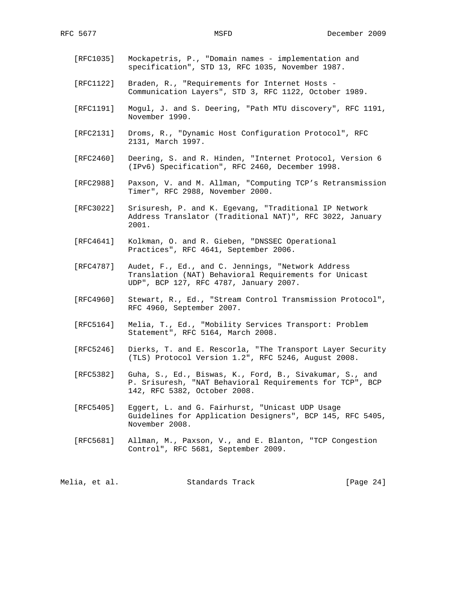- [RFC1035] Mockapetris, P., "Domain names implementation and specification", STD 13, RFC 1035, November 1987.
- [RFC1122] Braden, R., "Requirements for Internet Hosts Communication Layers", STD 3, RFC 1122, October 1989.
- [RFC1191] Mogul, J. and S. Deering, "Path MTU discovery", RFC 1191, November 1990.
- [RFC2131] Droms, R., "Dynamic Host Configuration Protocol", RFC 2131, March 1997.
- [RFC2460] Deering, S. and R. Hinden, "Internet Protocol, Version 6 (IPv6) Specification", RFC 2460, December 1998.
- [RFC2988] Paxson, V. and M. Allman, "Computing TCP's Retransmission Timer", RFC 2988, November 2000.
- [RFC3022] Srisuresh, P. and K. Egevang, "Traditional IP Network Address Translator (Traditional NAT)", RFC 3022, January 2001.
- [RFC4641] Kolkman, O. and R. Gieben, "DNSSEC Operational Practices", RFC 4641, September 2006.
- [RFC4787] Audet, F., Ed., and C. Jennings, "Network Address Translation (NAT) Behavioral Requirements for Unicast UDP", BCP 127, RFC 4787, January 2007.
- [RFC4960] Stewart, R., Ed., "Stream Control Transmission Protocol", RFC 4960, September 2007.
- [RFC5164] Melia, T., Ed., "Mobility Services Transport: Problem Statement", RFC 5164, March 2008.
- [RFC5246] Dierks, T. and E. Rescorla, "The Transport Layer Security (TLS) Protocol Version 1.2", RFC 5246, August 2008.
- [RFC5382] Guha, S., Ed., Biswas, K., Ford, B., Sivakumar, S., and P. Srisuresh, "NAT Behavioral Requirements for TCP", BCP 142, RFC 5382, October 2008.
- [RFC5405] Eggert, L. and G. Fairhurst, "Unicast UDP Usage Guidelines for Application Designers", BCP 145, RFC 5405, November 2008.
- [RFC5681] Allman, M., Paxson, V., and E. Blanton, "TCP Congestion Control", RFC 5681, September 2009.

Melia, et al. Standards Track [Page 24]